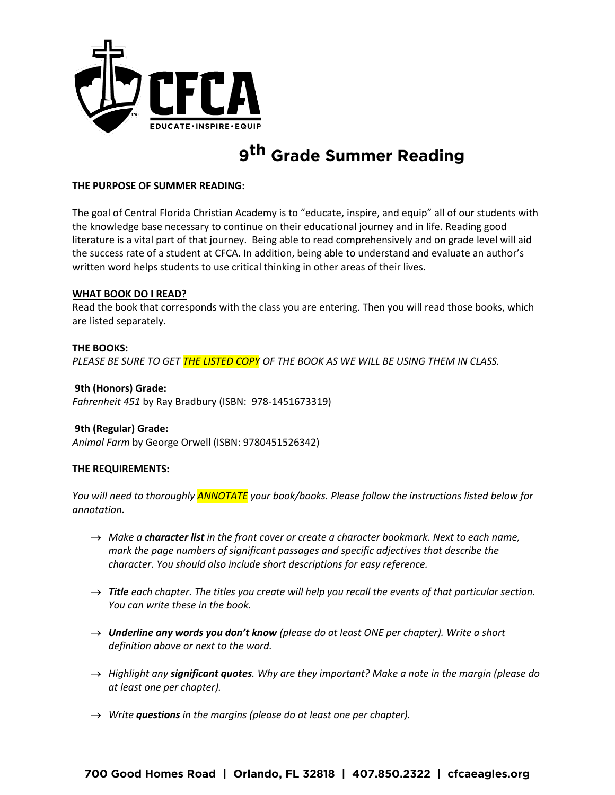

# **9 th Grade Summer Reading**

## **THE PURPOSE OF SUMMER READING:**

The goal of Central Florida Christian Academy is to "educate, inspire, and equip" all of our students with the knowledge base necessary to continue on their educational journey and in life. Reading good literature is a vital part of that journey. Being able to read comprehensively and on grade level will aid the success rate of a student at CFCA. In addition, being able to understand and evaluate an author's written word helps students to use critical thinking in other areas of their lives.

#### **WHAT BOOK DO I READ?**

Read the book that corresponds with the class you are entering. Then you will read those books, which are listed separately.

## **THE BOOKS:**

*PLEASE BE SURE TO GET THE LISTED COPY OF THE BOOK AS WE WILL BE USING THEM IN CLASS.* 

#### **9th (Honors) Grade:**

*Fahrenheit 451* by Ray Bradbury (ISBN: 978-1451673319)

# **9th (Regular) Grade:**

*Animal Farm* by George Orwell (ISBN: 9780451526342)

# **THE REQUIREMENTS:**

*You will need to thoroughly ANNOTATE your book/books. Please follow the instructions listed below for annotation.* 

- → *Make a character list in the front cover or create a character bookmark. Next to each name, mark the page numbers of significant passages and specific adjectives that describe the character. You should also include short descriptions for easy reference.*
- → *Title each chapter. The titles you create will help you recall the events of that particular section. You can write these in the book.*
- → *Underline any words you don't know (please do at least ONE per chapter). Write a short definition above or next to the word.*
- → *Highlight any significant quotes. Why are they important? Make a note in the margin (please do at least one per chapter).*
- → *Write questions in the margins (please do at least one per chapter).*